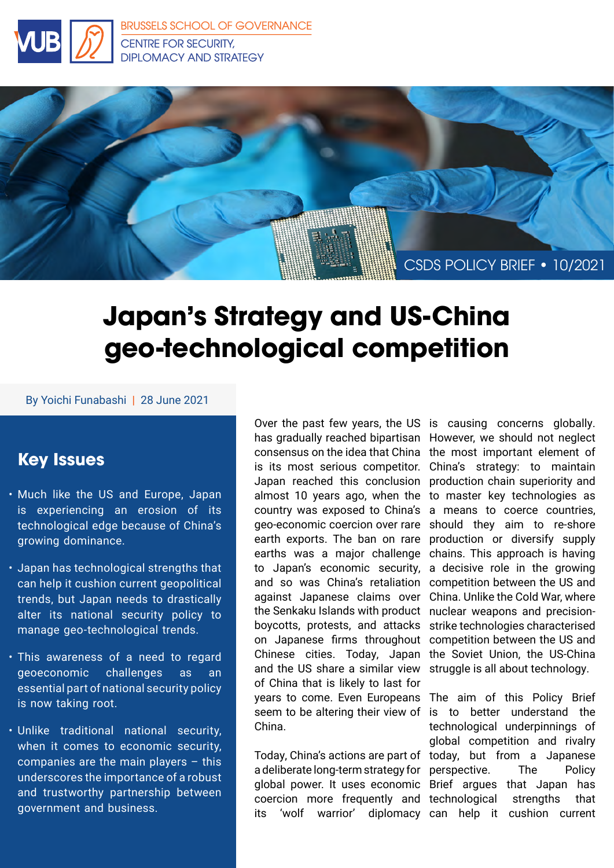



# **Japan's Strategy and US-China geo-technological competition**

#### By Yoichi Funabashi | 28 June 2021

## **Key Issues**

- Much like the US and Europe, Japan is experiencing an erosion of its technological edge because of China's growing dominance.
- Japan has technological strengths that can help it cushion current geopolitical trends, but Japan needs to drastically alter its national security policy to manage geo-technological trends.
- This awareness of a need to regard geoeconomic challenges as an essential part of national security policy is now taking root.
- Unlike traditional national security, when it comes to economic security, companies are the main players – this underscores the importance of a robust and trustworthy partnership between government and business.

has gradually reached bipartisan However, we should not neglect consensus on the idea that China the most important element of is its most serious competitor. China's strategy: to maintain Japan reached this conclusion production chain superiority and almost 10 years ago, when the to master key technologies as country was exposed to China's a means to coerce countries, geo-economic coercion over rare should they aim to re-shore earth exports. The ban on rare production or diversify supply earths was a major challenge chains. This approach is having to Japan's economic security, a decisive role in the growing and so was China's retaliation competition between the US and against Japanese claims over China. Unlike the Cold War, where the Senkaku Islands with product nuclear weapons and precisionboycotts, protests, and attacks on Japanese firms throughout Chinese cities. Today, Japan and the US share a similar view of China that is likely to last for years to come. Even Europeans seem to be altering their view of is to better understand the China.

Today, China's actions are part of today, but from a Japanese a deliberate long-term strategy for perspective. The Policy global power. It uses economic Brief argues that Japan has coercion more frequently and technological strengths that its 'wolf warrior' diplomacy can help it cushion current

Over the past few years, the US is causing concerns globally. strike technologies characterised competition between the US and the Soviet Union, the US-China struggle is all about technology.

> The aim of this Policy Brief technological underpinnings of global competition and rivalry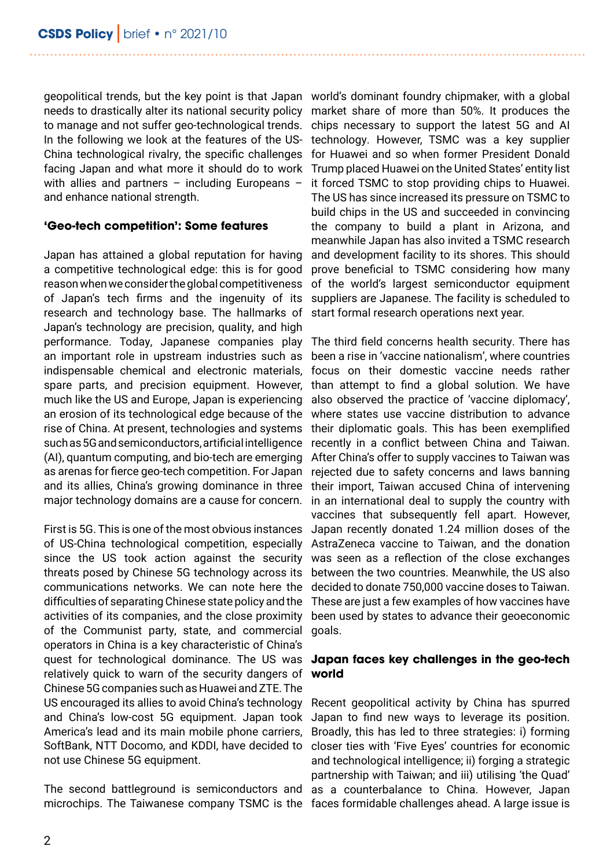geopolitical trends, but the key point is that Japan world's dominant foundry chipmaker, with a global needs to drastically alter its national security policy market share of more than 50%. It produces the to manage and not suffer geo-technological trends. In the following we look at the features of the US-China technological rivalry, the specific challenges facing Japan and what more it should do to work with allies and partners - including Europeans and enhance national strength.

#### **'Geo-tech competition': Some features**

Japan has attained a global reputation for having a competitive technological edge: this is for good reason when we consider the global competitiveness of Japan's tech firms and the ingenuity of its research and technology base. The hallmarks of Japan's technology are precision, quality, and high performance. Today, Japanese companies play an important role in upstream industries such as indispensable chemical and electronic materials, spare parts, and precision equipment. However, much like the US and Europe, Japan is experiencing an erosion of its technological edge because of the rise of China. At present, technologies and systems such as 5G and semiconductors, artificial intelligence (AI), quantum computing, and bio-tech are emerging as arenas for fierce geo-tech competition. For Japan and its allies, China's growing dominance in three major technology domains are a cause for concern.

First is 5G. This is one of the most obvious instances of US-China technological competition, especially since the US took action against the security threats posed by Chinese 5G technology across its communications networks. We can note here the difficulties of separating Chinese state policy and the activities of its companies, and the close proximity of the Communist party, state, and commercial goals. operators in China is a key characteristic of China's quest for technological dominance. The US was relatively quick to warn of the security dangers of Chinese 5G companies such as Huawei and ZTE. The US encouraged its allies to avoid China's technology and China's low-cost 5G equipment. Japan took America's lead and its main mobile phone carriers, SoftBank, NTT Docomo, and KDDI, have decided to not use Chinese 5G equipment.

The second battleground is semiconductors and as a counterbalance to China. However, Japan microchips. The Taiwanese company TSMC is the faces formidable challenges ahead. A large issue is

chips necessary to support the latest 5G and AI technology. However, TSMC was a key supplier for Huawei and so when former President Donald Trump placed Huawei on the United States' entity list it forced TSMC to stop providing chips to Huawei. The US has since increased its pressure on TSMC to build chips in the US and succeeded in convincing the company to build a plant in Arizona, and meanwhile Japan has also invited a TSMC research and development facility to its shores. This should prove beneficial to TSMC considering how many of the world's largest semiconductor equipment suppliers are Japanese. The facility is scheduled to start formal research operations next year.

The third field concerns health security. There has been a rise in 'vaccine nationalism', where countries focus on their domestic vaccine needs rather than attempt to find a global solution. We have also observed the practice of 'vaccine diplomacy', where states use vaccine distribution to advance their diplomatic goals. This has been exemplified recently in a conflict between China and Taiwan. After China's offer to supply vaccines to Taiwan was rejected due to safety concerns and laws banning their import, Taiwan accused China of intervening in an international deal to supply the country with vaccines that subsequently fell apart. However, Japan recently donated 1.24 million doses of the AstraZeneca vaccine to Taiwan, and the donation was seen as a reflection of the close exchanges between the two countries. Meanwhile, the US also decided to donate 750,000 vaccine doses to Taiwan. These are just a few examples of how vaccines have been used by states to advance their geoeconomic

#### **Japan faces key challenges in the geo-tech world**

Recent geopolitical activity by China has spurred Japan to find new ways to leverage its position. Broadly, this has led to three strategies: i) forming closer ties with 'Five Eyes' countries for economic and technological intelligence; ii) forging a strategic partnership with Taiwan; and iii) utilising 'the Quad'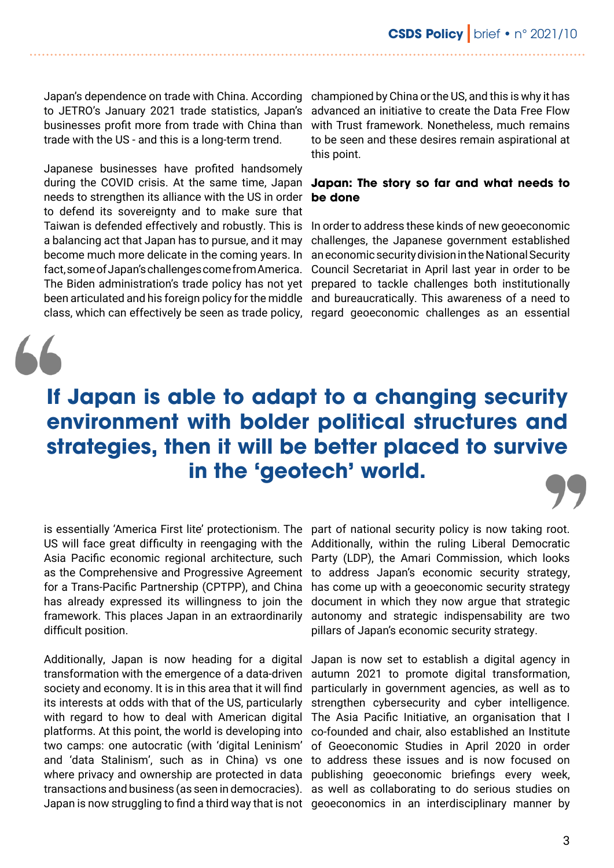Japan's dependence on trade with China. According championed by China or the US, and this is why it has to JETRO's January 2021 trade statistics, Japan's businesses profit more from trade with China than trade with the US - and this is a long-term trend.

Japanese businesses have profited handsomely needs to strengthen its alliance with the US in order to defend its sovereignty and to make sure that Taiwan is defended effectively and robustly. This is In order to address these kinds of new geoeconomic a balancing act that Japan has to pursue, and it may become much more delicate in the coming years. In fact, some of Japan's challenges come from America. The Biden administration's trade policy has not yet prepared to tackle challenges both institutionally been articulated and his foreign policy for the middle and bureaucratically. This awareness of a need to

advanced an initiative to create the Data Free Flow with Trust framework. Nonetheless, much remains to be seen and these desires remain aspirational at this point.

#### during the COVID crisis. At the same time, Japan **Japan: The story so far and what needs to be done**

class, which can effectively be seen as trade policy, regard geoeconomic challenges as an essential challenges, the Japanese government established an economic security division in the National Security Council Secretariat in April last year in order to be

# **If Japan is able to adapt to a changing security environment with bolder political structures and strategies, then it will be better placed to survive in the 'geotech' world.**

US will face great difficulty in reengaging with the Asia Pacific economic regional architecture, such as the Comprehensive and Progressive Agreement for a Trans-Pacific Partnership (CPTPP), and China has already expressed its willingness to join the framework. This places Japan in an extraordinarily difficult position.

Additionally, Japan is now heading for a digital transformation with the emergence of a data-driven society and economy. It is in this area that it will find its interests at odds with that of the US, particularly with regard to how to deal with American digital platforms. At this point, the world is developing into two camps: one autocratic (with 'digital Leninism' and 'data Stalinism', such as in China) vs one where privacy and ownership are protected in data transactions and business (as seen in democracies).

is essentially 'America First lite' protectionism. The part of national security policy is now taking root. Additionally, within the ruling Liberal Democratic Party (LDP), the Amari Commission, which looks to address Japan's economic security strategy, has come up with a geoeconomic security strategy document in which they now argue that strategic autonomy and strategic indispensability are two pillars of Japan's economic security strategy.

Japan is now struggling to find a third way that is not geoeconomics in an interdisciplinary manner by Japan is now set to establish a digital agency in autumn 2021 to promote digital transformation, particularly in government agencies, as well as to strengthen cybersecurity and cyber intelligence. The Asia Pacific Initiative, an organisation that I co-founded and chair, also established an Institute of Geoeconomic Studies in April 2020 in order to address these issues and is now focused on publishing geoeconomic briefings every week, as well as collaborating to do serious studies on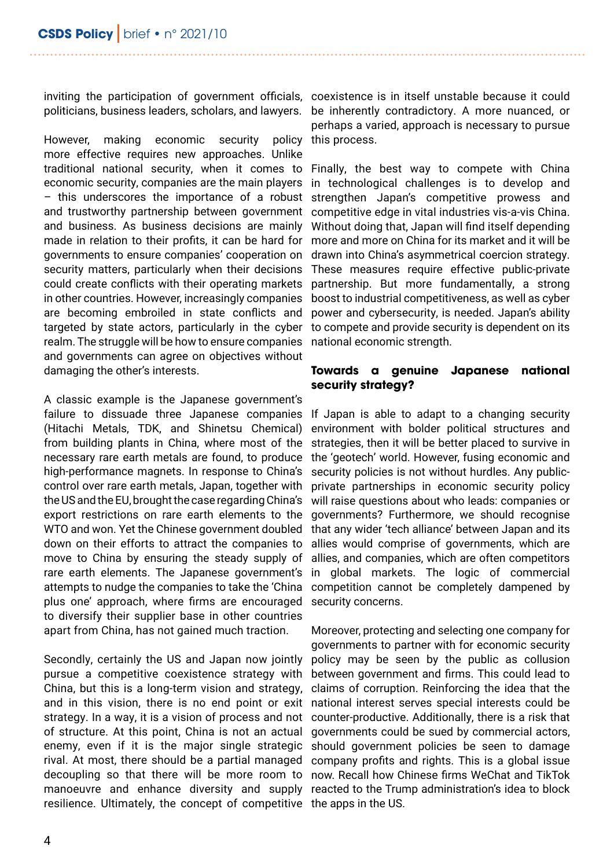politicians, business leaders, scholars, and lawyers.

However, making economic security policy more effective requires new approaches. Unlike traditional national security, when it comes to economic security, companies are the main players – this underscores the importance of a robust and trustworthy partnership between government and business. As business decisions are mainly made in relation to their profits, it can be hard for governments to ensure companies' cooperation on security matters, particularly when their decisions could create conflicts with their operating markets in other countries. However, increasingly companies are becoming embroiled in state conflicts and targeted by state actors, particularly in the cyber realm. The struggle will be how to ensure companies and governments can agree on objectives without damaging the other's interests.

A classic example is the Japanese government's failure to dissuade three Japanese companies (Hitachi Metals, TDK, and Shinetsu Chemical) from building plants in China, where most of the necessary rare earth metals are found, to produce high-performance magnets. In response to China's control over rare earth metals, Japan, together with the US and the EU, brought the case regarding China's export restrictions on rare earth elements to the WTO and won. Yet the Chinese government doubled down on their efforts to attract the companies to move to China by ensuring the steady supply of rare earth elements. The Japanese government's attempts to nudge the companies to take the 'China plus one' approach, where firms are encouraged to diversify their supplier base in other countries apart from China, has not gained much traction.

Secondly, certainly the US and Japan now jointly pursue a competitive coexistence strategy with China, but this is a long-term vision and strategy, and in this vision, there is no end point or exit strategy. In a way, it is a vision of process and not of structure. At this point, China is not an actual enemy, even if it is the major single strategic rival. At most, there should be a partial managed decoupling so that there will be more room to manoeuvre and enhance diversity and supply reacted to the Trump administration's idea to block resilience. Ultimately, the concept of competitive the apps in the US.

inviting the participation of government officials, coexistence is in itself unstable because it could be inherently contradictory. A more nuanced, or perhaps a varied, approach is necessary to pursue this process.

> Finally, the best way to compete with China in technological challenges is to develop and strengthen Japan's competitive prowess and competitive edge in vital industries vis-a-vis China. Without doing that, Japan will find itself depending more and more on China for its market and it will be drawn into China's asymmetrical coercion strategy. These measures require effective public-private partnership. But more fundamentally, a strong boost to industrial competitiveness, as well as cyber power and cybersecurity, is needed. Japan's ability to compete and provide security is dependent on its national economic strength.

#### **Towards a genuine Japanese national security strategy?**

If Japan is able to adapt to a changing security environment with bolder political structures and strategies, then it will be better placed to survive in the 'geotech' world. However, fusing economic and security policies is not without hurdles. Any publicprivate partnerships in economic security policy will raise questions about who leads: companies or governments? Furthermore, we should recognise that any wider 'tech alliance' between Japan and its allies would comprise of governments, which are allies, and companies, which are often competitors in global markets. The logic of commercial competition cannot be completely dampened by security concerns.

Moreover, protecting and selecting one company for governments to partner with for economic security policy may be seen by the public as collusion between government and firms. This could lead to claims of corruption. Reinforcing the idea that the national interest serves special interests could be counter-productive. Additionally, there is a risk that governments could be sued by commercial actors, should government policies be seen to damage company profits and rights. This is a global issue now. Recall how Chinese firms WeChat and TikTok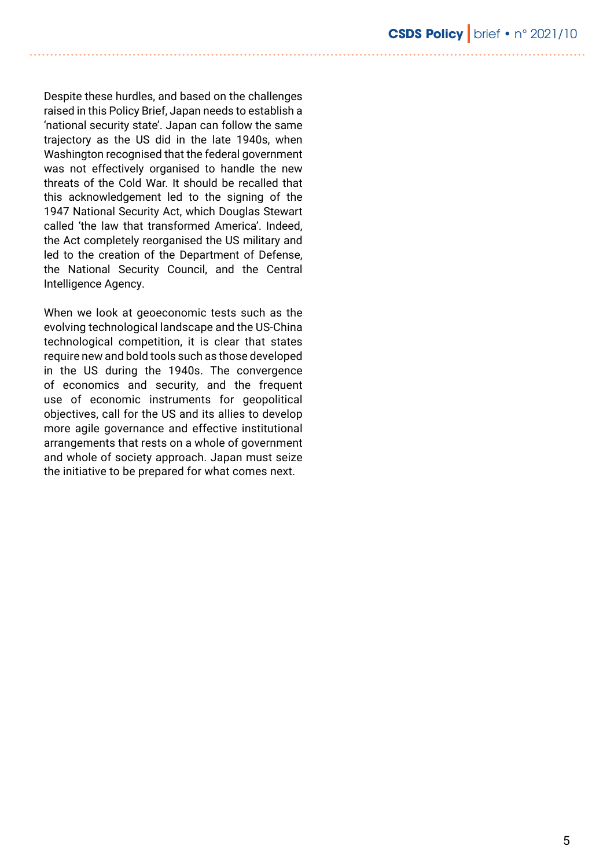Despite these hurdles, and based on the challenges raised in this Policy Brief, Japan needs to establish a 'national security state'. Japan can follow the same trajectory as the US did in the late 1940s, when Washington recognised that the federal government was not effectively organised to handle the new threats of the Cold War. It should be recalled that this acknowledgement led to the signing of the 1947 National Security Act, which Douglas Stewart called 'the law that transformed America'. Indeed, the Act completely reorganised the US military and led to the creation of the Department of Defense, the National Security Council, and the Central Intelligence Agency.

When we look at geoeconomic tests such as the evolving technological landscape and the US-China technological competition, it is clear that states require new and bold tools such as those developed in the US during the 1940s. The convergence of economics and security, and the frequent use of economic instruments for geopolitical objectives, call for the US and its allies to develop more agile governance and effective institutional arrangements that rests on a whole of government and whole of society approach. Japan must seize the initiative to be prepared for what comes next.